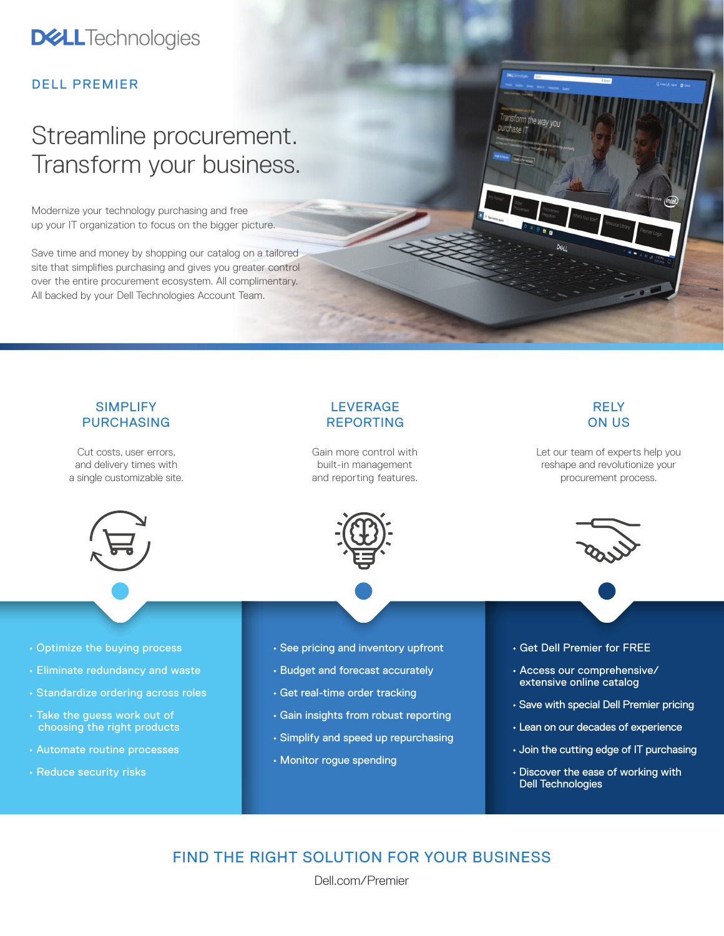## **DELL**Technologies

### DELL PREMIER

# Streamline procurement. Transform your business.

Modernize your technology purchasing and free up your IT organization to focus on the bigger picture.

Save time and money by shopping our catalog on a tailored site that simplifies purchasing and gives you greater control over the entire procurement ecosystem. All complimentary. All backed by your Dell Technologies Account Team.

#### SIMPLIFY PURCHASING Cut costs, user errors, and delivery times with a single customizable site. • Optimize the buying process • Eliminate redundancy and waste • Standardize ordering across roles • Take the guess work out of choosing the right products • Automate routine processes • Reduce security risks LEVERAGE REPORTING Gain more control with built-in management and reporting features. • See pricing and inventory upfront • Budget and forecast accurately • Get real-time order tracking • Gain insights from robust reporting • Simplify and speed up repurchasing • Monitor rogue spending RELY ON US Let our team of experts help you reshape and revolutionize your procurement process. • Get Dell Premier for FREE • Access our comprehensive/ extensive online catalog • Save with special Dell Premier pricing • Lean on our decades of experience • Join the cutting edge of IT purchasing • Discover the ease of working with Dell Technologies

purchase IT

### FIND THE RIGHT SOLUTION FOR YOUR BUSINESS

[Dell.com/Premier](https://Dell.com/Premier)